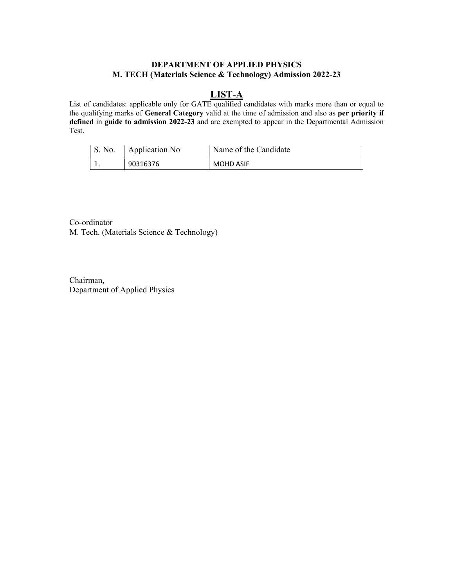### DEPARTMENT OF APPLIED PHYSICS M. TECH (Materials Science & Technology) Admission 2022-23

# LIST-A

List of candidates: applicable only for GATE qualified candidates with marks more than or equal to the qualifying marks of General Category valid at the time of admission and also as per priority if defined in guide to admission 2022-23 and are exempted to appear in the Departmental Admission Test.

| $\perp$ S. No. | Application No | Name of the Candidate |
|----------------|----------------|-----------------------|
|                | 90316376       | <b>MOHD ASIF</b>      |

Co-ordinator M. Tech. (Materials Science & Technology)

Chairman, Department of Applied Physics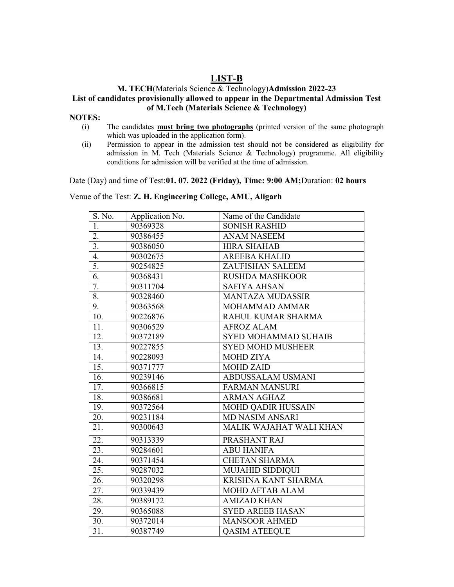## LIST-B

#### M. TECH(Materials Science & Technology)Admission 2022-23 List of candidates provisionally allowed to appear in the Departmental Admission Test of M.Tech (Materials Science & Technology)

#### NOTES:

- (i) The candidates must bring two photographs (printed version of the same photograph which was uploaded in the application form).
- (ii) Permission to appear in the admission test should not be considered as eligibility for admission in M. Tech (Materials Science & Technology) programme. All eligibility conditions for admission will be verified at the time of admission.

Date (Day) and time of Test:01. 07. 2022 (Friday), Time: 9:00 AM; Duration: 02 hours

Venue of the Test: Z. H. Engineering College, AMU, Aligarh

| S. No.            | Application No. | Name of the Candidate       |  |
|-------------------|-----------------|-----------------------------|--|
| 1.                | 90369328        | <b>SONISH RASHID</b>        |  |
| $\overline{2}$ .  | 90386455        | <b>ANAM NASEEM</b>          |  |
| 3.                | 90386050        | <b>HIRA SHAHAB</b>          |  |
| 4.                | 90302675        | <b>AREEBA KHALID</b>        |  |
| 5.                | 90254825        | ZAUFISHAN SALEEM            |  |
| 6.                | 90368431        | <b>RUSHDA MASHKOOR</b>      |  |
| 7.                | 90311704        | <b>SAFIYA AHSAN</b>         |  |
| $\overline{8}$ .  | 90328460        | <b>MANTAZA MUDASSIR</b>     |  |
| 9.                | 90363568        | MOHAMMAD AMMAR              |  |
| 10.               | 90226876        | RAHUL KUMAR SHARMA          |  |
| 11.               | 90306529        | <b>AFROZ ALAM</b>           |  |
| 12.               | 90372189        | <b>SYED MOHAMMAD SUHAIB</b> |  |
| 13.               | 90227855        | <b>SYED MOHD MUSHEER</b>    |  |
| 14.               | 90228093        | <b>MOHD ZIYA</b>            |  |
| 15.               | 90371777        | <b>MOHD ZAID</b>            |  |
| 16.               | 90239146        | ABDUSSALAM USMANI           |  |
| 17.               | 90366815        | <b>FARMAN MANSURI</b>       |  |
| 18.               | 90386681        | <b>ARMAN AGHAZ</b>          |  |
| 19.               | 90372564        | <b>MOHD QADIR HUSSAIN</b>   |  |
| 20.               | 90231184        | <b>MD NASIM ANSARI</b>      |  |
| 21.               | 90300643        | MALIK WAJAHAT WALI KHAN     |  |
| 22.               | 90313339        | PRASHANT RAJ                |  |
| 23.               | 90284601        | <b>ABU HANIFA</b>           |  |
| 24.               | 90371454        | <b>CHETAN SHARMA</b>        |  |
| $\overline{25}$ . | 90287032        | MUJAHID SIDDIQUI            |  |
| 26.               | 90320298        | KRISHNA KANT SHARMA         |  |
| 27.               | 90339439        | MOHD AFTAB ALAM             |  |
| 28.               | 90389172        | <b>AMIZAD KHAN</b>          |  |
| 29.               | 90365088        | <b>SYED AREEB HASAN</b>     |  |
| 30.               | 90372014        | <b>MANSOOR AHMED</b>        |  |
| 31.               | 90387749        | <b>QASIM ATEEQUE</b>        |  |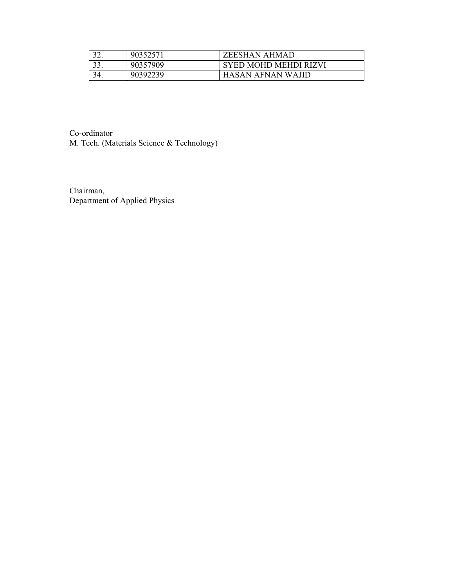|  | 9035257  | ZEESHAN AHMAD         |
|--|----------|-----------------------|
|  | 90357909 | SYED MOHD MEHDI RIZVI |
|  | 90392239 | HASAN AFNAN WAIID     |

Co-ordinator M. Tech. (Materials Science & Technology)

Chairman, Department of Applied Physics